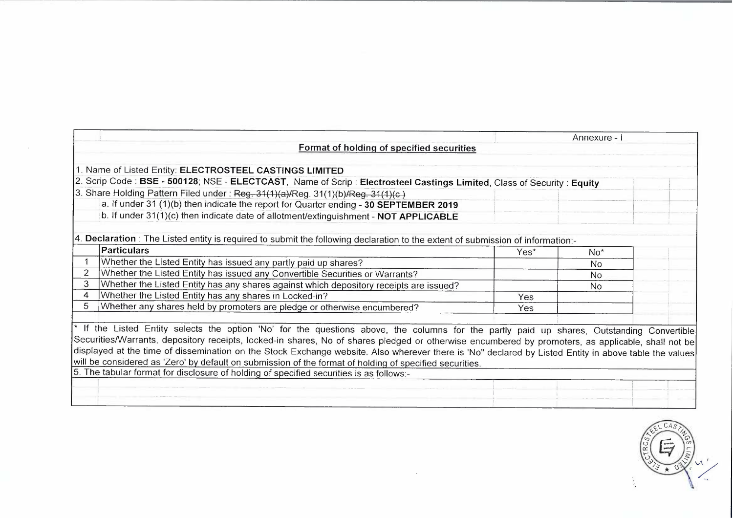|   |                                                                                                                                                       |      | Annexure - i    |  |
|---|-------------------------------------------------------------------------------------------------------------------------------------------------------|------|-----------------|--|
|   | Format of holding of specified securities                                                                                                             |      |                 |  |
|   | 1. Name of Listed Entity: ELECTROSTEEL CASTINGS LIMITED                                                                                               |      |                 |  |
|   | 2. Scrip Code: BSE - 500128; NSE - ELECTCAST, Name of Scrip: Electrosteel Castings Limited, Class of Security: Equity                                 |      |                 |  |
|   | 3. Share Holding Pattern Filed under: Reg. 31(1)(a)/Reg. 31(1)(b)/Reg. 31(1)(c)                                                                       |      |                 |  |
|   | a. If under 31 (1)(b) then indicate the report for Quarter ending - 30 SEPTEMBER 2019                                                                 |      |                 |  |
|   | b. If under 31(1)(c) then indicate date of allotment/extinguishment - NOT APPLICABLE                                                                  |      |                 |  |
|   |                                                                                                                                                       |      |                 |  |
|   | 4. Declaration: The Listed entity is required to submit the following declaration to the extent of submission of information:-                        |      |                 |  |
|   | <b>Particulars</b>                                                                                                                                    | Yes* | No <sup>*</sup> |  |
|   | Whether the Listed Entity has issued any partly paid up shares?                                                                                       |      | No.             |  |
|   | Whether the Listed Entity has issued any Convertible Securities or Warrants?                                                                          |      | <b>No</b>       |  |
| 3 | Whether the Listed Entity has any shares against which depository receipts are issued?                                                                |      | No              |  |
| 4 | Whether the Listed Entity has any shares in Locked-in?                                                                                                | Yes  |                 |  |
|   | Whether any shares held by promoters are pledge or otherwise encumbered?                                                                              | Yes  |                 |  |
|   |                                                                                                                                                       |      |                 |  |
|   | * If the Listed Entity selects the option 'No' for the questions above, the columns for the partly paid up shares, Outstanding Convertible            |      |                 |  |
|   | Securities/Warrants, depository receipts, locked-in shares, No of shares pledged or otherwise encumbered by promoters, as applicable, shall not be    |      |                 |  |
|   | displayed at the time of dissemination on the Stock Exchange website. Also wherever there is 'No" declared by Listed Entity in above table the values |      |                 |  |
|   | will be considered as 'Zero' by default on submission of the format of holding of specified securities.                                               |      |                 |  |
|   | 5. The tabular format for disclosure of holding of specified securities is as follows:-                                                               |      |                 |  |
|   |                                                                                                                                                       |      |                 |  |
|   |                                                                                                                                                       |      |                 |  |
|   |                                                                                                                                                       |      |                 |  |

 $\sim$ 

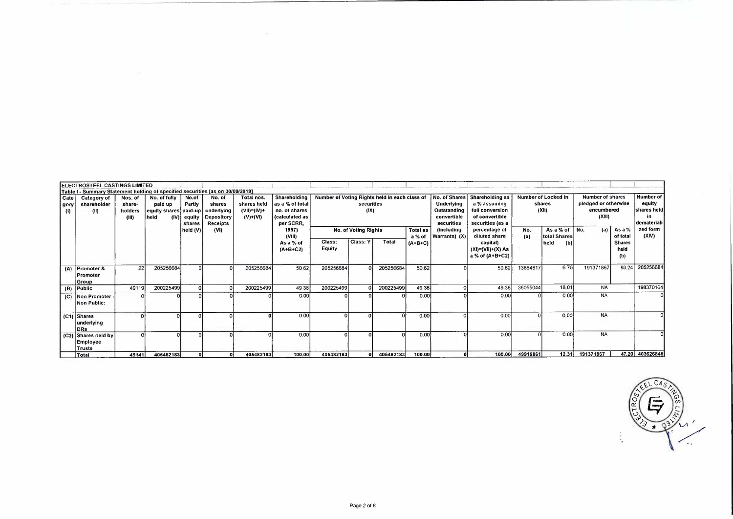|                          | <b>IELECTROSTEEL CASTINGS LIMITED</b><br>Table I - Summary Statement holding of specified securities [as on 30/09/2019] |                                      |                                                          |                                            |                                                                 |                                                          |                                                                                   |                                               |                      |           |                           |                                                                         |                                                                                          |            |                                        |            |                                                                                                                   |                   |
|--------------------------|-------------------------------------------------------------------------------------------------------------------------|--------------------------------------|----------------------------------------------------------|--------------------------------------------|-----------------------------------------------------------------|----------------------------------------------------------|-----------------------------------------------------------------------------------|-----------------------------------------------|----------------------|-----------|---------------------------|-------------------------------------------------------------------------|------------------------------------------------------------------------------------------|------------|----------------------------------------|------------|-------------------------------------------------------------------------------------------------------------------|-------------------|
| Cate<br>gory<br>$\bf{a}$ | Category of<br>shareholder<br>(II)                                                                                      | Nos. of<br>share-<br>holders<br>(11) | No. of fully<br>paid up<br>equity shares paid-up<br>held | No.of<br>Partly<br>$(IV)$ equity<br>shares | No. of<br>shares<br>underlying<br>Depository<br><b>Receipts</b> | Total nos.<br>shares held<br>$(VII)=(IV)+$<br>$(V)+(VI)$ | Shareholding<br>l as a % of total<br>no. of shares<br>(calculated as<br>per SCRR, | Number of Voting Rights held in each class of | securities<br>(1)    |           |                           | No. of Shares<br>Underlying<br>Outstanding<br>convertible<br>securities | Shareholding as<br>a % assuming<br>full conversion<br>of convertible<br>securities (as a |            | Number of Locked in<br>shares<br>(XII) | (XIII)     | <b>Number of shares</b><br><b>Number of</b><br>pledged or otherwise<br>encumbered<br>shares heid<br>l demateriali |                   |
|                          |                                                                                                                         |                                      |                                                          | held (V)                                   | (VI)                                                            |                                                          | 1957)<br>(VIII)                                                                   |                                               | No. of Voting Rights |           | <b>Total as</b><br>a % of | <i>(including</i><br>Warrants) (X)                                      | percentage of<br>diluted share                                                           | No.<br>(a) | As a % of<br>total Shares              | No.<br>(a) | As a %<br>of total                                                                                                | zed form<br>(XIV) |
|                          |                                                                                                                         |                                      |                                                          |                                            |                                                                 |                                                          | As a % of<br>$(A + B + C2)$                                                       | Class:<br>Equity                              | Class: Y             | Total     | $(A+B+C)$                 |                                                                         | capital)<br>$(XI) = (VII) + (X) As$<br>a % of (A+B+C2)                                   |            | held<br>(b)                            |            | <b>Shares</b><br>held<br>(b)                                                                                      |                   |
|                          | (A) Promoter &<br>Promoter<br> Group                                                                                    | 22                                   | 205256684                                                |                                            |                                                                 | 205256684                                                | 50 62                                                                             | 205256684                                     |                      | 205256684 | 50.62                     |                                                                         | 50 62                                                                                    | 13864817   | 6.75                                   | 191371867  | 93.24                                                                                                             | 205256684         |
|                          | $(B)$ Public                                                                                                            | 49119                                | 200225499                                                |                                            |                                                                 | 200225499                                                | 49 38                                                                             | 200225499                                     |                      | 200225499 | 49.38                     |                                                                         | 49 38                                                                                    | 36055044   | 180'                                   | <b>NA</b>  |                                                                                                                   | 198370164         |
|                          | (C) Non Promoter -<br>Non Public:                                                                                       |                                      |                                                          |                                            |                                                                 |                                                          | 0.00                                                                              |                                               |                      |           | 0.00                      |                                                                         | 0.00                                                                                     |            | 0.00                                   | <b>NA</b>  |                                                                                                                   |                   |
|                          | (C1) Shares<br>underlying<br><b>DRS</b>                                                                                 |                                      |                                                          |                                            |                                                                 |                                                          | 0.00                                                                              |                                               |                      |           | 0.00                      |                                                                         | 000                                                                                      |            | 0.00                                   | <b>NA</b>  |                                                                                                                   |                   |
|                          | (C2) Shares held by<br><b>Employee</b><br>Trusts                                                                        |                                      |                                                          |                                            |                                                                 |                                                          | 0.00                                                                              |                                               |                      |           | 0.00                      |                                                                         | 0.00                                                                                     |            | 000                                    | <b>NA</b>  |                                                                                                                   |                   |
|                          | Total                                                                                                                   | 49141                                | 405482183                                                | $\Omega$                                   |                                                                 | 405482183                                                | 100,00                                                                            | 405482183                                     |                      | 405482183 | 100.00                    |                                                                         | 100.00                                                                                   | 49919861   | 12.31                                  | 191371867  |                                                                                                                   | 47.20 403626848   |

 $\sim$ 

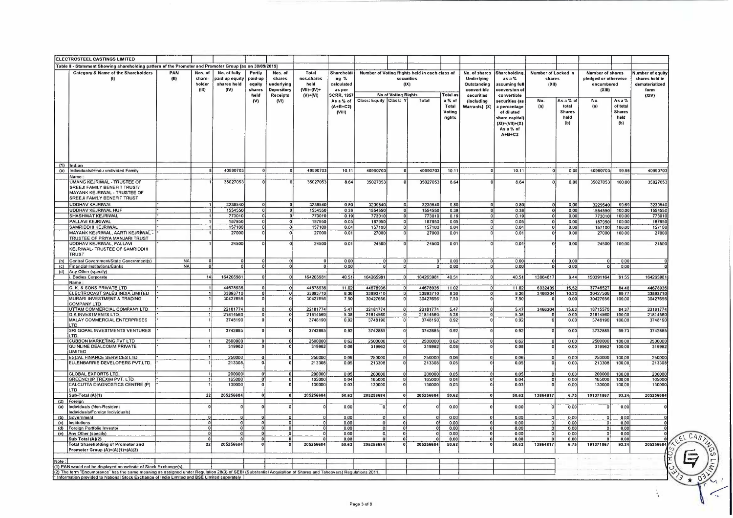|       | <b>ELECTROSTEEL CASTINGS LIMITED</b>                                                                                                                                                                                            |             |                                    |                                                       |                                               |                                                                         |                                                                 |                                                                 |                          |                            |                                                             |                                     |                                                                                |                                                                                                         |                                        |                                                    |                                                                         |                                                    |                                                                       |              |
|-------|---------------------------------------------------------------------------------------------------------------------------------------------------------------------------------------------------------------------------------|-------------|------------------------------------|-------------------------------------------------------|-----------------------------------------------|-------------------------------------------------------------------------|-----------------------------------------------------------------|-----------------------------------------------------------------|--------------------------|----------------------------|-------------------------------------------------------------|-------------------------------------|--------------------------------------------------------------------------------|---------------------------------------------------------------------------------------------------------|----------------------------------------|----------------------------------------------------|-------------------------------------------------------------------------|----------------------------------------------------|-----------------------------------------------------------------------|--------------|
|       | Table II - Statement Showing shareholding pattern of the Promoter and Promoter Group [as on 30/09/2019]                                                                                                                         |             |                                    |                                                       |                                               |                                                                         |                                                                 |                                                                 |                          |                            |                                                             |                                     |                                                                                |                                                                                                         |                                        |                                                    |                                                                         |                                                    |                                                                       |              |
|       | Category & Name of the Shareholders<br>(1)                                                                                                                                                                                      | PAN<br>(11) | Nos. of<br>share-<br>holder<br>41B | No. of fully<br>paid up equity<br>shares held<br>(IV) | Partly<br>paid-up<br>equity<br>shares<br>held | Nos. of<br>shares<br>underlying<br><b>Depository</b><br><b>Receipts</b> | Total<br>nos.shares<br>held<br>$(VII) = (IV) +$<br>$(V) + (VI)$ | Shareholdi<br>ng %<br>calculateo<br>as per<br><b>SCRR, 1957</b> |                          | (X)<br>No of Voting Rights | Number of Voting Rights held in each class of<br>securities | Total as                            | No. of shares<br><b>Underlying</b><br>Outstanding<br>convertible<br>securities | Shareholding,<br>asa%<br>ıssuming full<br>conversion o<br>convertible                                   | Number of Locked in<br>shares<br>(XII) |                                                    | <b>Number of shares</b><br>pledged or otherwise<br>encumbered<br>(X 11) |                                                    | Number of equity<br>shares held in<br>dematerialized<br>form<br>(XIV) |              |
|       |                                                                                                                                                                                                                                 |             |                                    |                                                       | (V)                                           | (V)                                                                     |                                                                 | As a % of<br>$(A + B + C2)$<br>(VIII)                           | Class: Equity Class: Y   |                            | Total                                                       | a % of<br>Total<br>Voting<br>rights | <i>lincluding</i><br>Warrants) (X)                                             | securities (as<br>a percentage<br>of diluted<br>share capital)<br>(X1)=(VII)+(X)<br>As a % of<br>A+B+C2 | No.<br>(a)                             | As a % of<br>total<br><b>Shares</b><br>held<br>(b) | No.<br>(a)                                                              | As a %<br>of total<br><b>Shares</b><br>held<br>(b) |                                                                       |              |
|       | $(1)$  Indian                                                                                                                                                                                                                   |             |                                    |                                                       |                                               |                                                                         |                                                                 |                                                                 |                          |                            |                                                             |                                     |                                                                                |                                                                                                         |                                        |                                                    |                                                                         |                                                    |                                                                       |              |
| (a)   | Individuals/Hindu undivided Family                                                                                                                                                                                              |             |                                    | 40990703                                              | $\Omega$                                      |                                                                         | 40990703                                                        | 10 11                                                           | 40990703                 |                            | 40990703                                                    | 10.11                               |                                                                                | 10.11                                                                                                   |                                        | 0.00                                               | 40980703                                                                | 99.98                                              | 40990703                                                              |              |
|       | Name<br>UMANG KEJRIWAL - TRUSTEE OF<br>SREEJI FAMILY BENEFIT TRUST/<br>MAYANK KEJRIWAL - TRUSTEE OF<br><b>SREEJI FAMILY BENEFIT TRUST</b>                                                                                       |             |                                    | 35027053                                              | $\Omega$                                      |                                                                         | 35027053                                                        | 8 6 4                                                           | 35027053                 |                            | 35027053                                                    | 8.64                                |                                                                                | 8 64                                                                                                    |                                        | 0.00                                               | 35027053                                                                | 100 00                                             | 35027053                                                              |              |
|       | <b>UDDHAV KEJRIWAL</b>                                                                                                                                                                                                          |             |                                    | 3239540                                               |                                               | $\mathbf{0}$                                                            | 3239540                                                         | 0.80                                                            | 3239540                  |                            | 3239540                                                     | 0.80                                | $\Omega$                                                                       | 0.80                                                                                                    | $\Omega$                               | 0.00                                               | 3229540                                                                 | 99 69                                              | 3239540                                                               |              |
|       | UDDHAV KEJRIWAL HUF                                                                                                                                                                                                             |             |                                    | 1554550                                               | $\overline{0}$                                | $\overline{0}$                                                          | 1554550                                                         | 038                                                             | 1554550                  |                            | 1554550                                                     | 0.38                                | $\overline{0}$                                                                 | 0.38                                                                                                    | ōΙ                                     | 000                                                | 1554550                                                                 | 100.00                                             | 1554550                                                               |              |
|       | <b>SHASHWAT KEJRIWAL</b><br>PALLAVI KEJRIWAL                                                                                                                                                                                    |             |                                    | 773010<br>187950                                      |                                               | $\mathbf{0}$<br>$\mathbf{o}$                                            | 773010<br>187950                                                | 019<br>0.05                                                     | 773010<br>187950         |                            | 773010<br>187950                                            | 0 19<br>0.05                        | $\overline{0}$<br>$\Omega$                                                     | 0,19<br>0.05                                                                                            | ০৷<br>ol                               | 0.00<br>0.00                                       | 773010<br>187950                                                        | 100 00<br>100.00                                   | 773010<br>187950                                                      |              |
|       | SAMRIDDHI KEJRIWAI                                                                                                                                                                                                              |             |                                    | 157100                                                |                                               | $\Omega$                                                                | 157100                                                          | 0.04                                                            | 157100                   |                            | 157100                                                      | 0.04                                | $\Omega$                                                                       | 0.04                                                                                                    | 0                                      | 0.00                                               | 157100                                                                  | 100.00                                             | 157100                                                                |              |
|       | MAYANK KEJRIWAL, AARTI KEJRIWAL                                                                                                                                                                                                 |             |                                    | 27000                                                 |                                               |                                                                         | 27000                                                           | 0.01                                                            | 27000                    |                            | 27000                                                       | 0.01                                | 0                                                                              | 0.01                                                                                                    |                                        | 000                                                | 27000                                                                   | 100 00                                             | 27000                                                                 |              |
|       | TRUSTEE OF PRIYA MANJARI TRUST<br>UDDHAV KEJRIWAL, PALLAVI<br>KEJRIWAL- TRUSTEE OF SAMRIDDHI                                                                                                                                    |             |                                    | 24500                                                 |                                               |                                                                         | 24500                                                           | 001                                                             | 24500                    |                            | 24500                                                       | 0.01                                | $\Omega$                                                                       | 001                                                                                                     |                                        | 0.00                                               | 24500                                                                   | 100 00                                             | 24500                                                                 |              |
|       | <b>TRUST</b><br>(b) Central Government/State Government(s)                                                                                                                                                                      | <b>NA</b>   | $\Omega$                           |                                                       | $\Omega$                                      |                                                                         |                                                                 | 000                                                             | $\Omega$                 |                            |                                                             | 0.00                                |                                                                                | 0.00                                                                                                    | $\Omega$                               | 0.00                                               | $\Omega$                                                                | 000                                                |                                                                       |              |
|       | (c) Financial Institutions/Banks                                                                                                                                                                                                | <b>NA</b>   |                                    |                                                       | $\Omega$                                      |                                                                         |                                                                 | 0.00                                                            | $\Omega$                 |                            |                                                             | 0.00                                |                                                                                | 0.00                                                                                                    |                                        | 000                                                | - O                                                                     | 000                                                |                                                                       |              |
|       | (d) Any Other (specify)                                                                                                                                                                                                         |             |                                    |                                                       |                                               |                                                                         |                                                                 |                                                                 |                          |                            |                                                             |                                     |                                                                                |                                                                                                         |                                        |                                                    |                                                                         |                                                    |                                                                       |              |
|       | . Bodies Corporate<br>Name                                                                                                                                                                                                      |             |                                    | 164265981                                             | $\Omega$                                      |                                                                         | 164265981                                                       | 40 51                                                           | 164265981                |                            | 164265981                                                   | 40 51                               |                                                                                | 40.51                                                                                                   | 13864817                               | 844                                                | 150391164                                                               | 9155                                               | 164265981                                                             |              |
|       | G. K. & SONS PRIVATE LTD                                                                                                                                                                                                        |             |                                    | 44678936                                              |                                               |                                                                         | 44678936                                                        | 11.02                                                           | 44678936                 |                            | 44678936                                                    | 11 02                               |                                                                                | 1102                                                                                                    | 6932409                                | 15.52                                              | 37746527                                                                | 84 48                                              | 44678936                                                              |              |
|       | ELECTROCAST SALES INDIA LIMITED<br>MURARI INVESTMENT & TRADING<br>COMPANY LTD                                                                                                                                                   |             |                                    | 33893710<br>30427656                                  |                                               |                                                                         | 33893710<br>30427656                                            | 8 3 6<br>7.50                                                   | 33893710<br>30427656     |                            | 33893710<br>30427656                                        | 8 3 6<br>7.50                       | $\Omega$<br>$\Omega$                                                           | 8 3 6<br>750                                                                                            | 3466204                                | 10.23<br>0.00                                      | 30427506<br>30427656                                                    | 8977<br>100 00                                     | 33893710<br>30427656                                                  |              |
|       | JTTAM COMMERCIAL COMPANY LTD                                                                                                                                                                                                    |             |                                    | 22181774                                              | $\mathbf 0$                                   |                                                                         | 22181774                                                        | 5.47                                                            | 22181774                 |                            | 22181774                                                    | 5.47                                |                                                                                | 5.47                                                                                                    | 3466204                                | 15.63                                              | 18715570                                                                | 84 37                                              | 22181774                                                              |              |
|       | <b>G.K INVESTMENTS LTD.</b><br>MALAY COMMERCIAL ENTERPRISES<br>LTD.                                                                                                                                                             |             |                                    | 21814560<br>3748190                                   | $\mathbf{o}$                                  | $\Omega$<br>$\Omega$<br>$\Omega$                                        | 21814560<br>3748190                                             | 5.38<br>092                                                     | 21814560<br>3748190      |                            | 21814560<br>3748190                                         | 5 38<br>0.92                        |                                                                                | 5.38<br>0.92                                                                                            |                                        | 0.00<br>0.00                                       | 21814560<br>3748190                                                     | 10000<br>100 00                                    | 2181456<br>3748190                                                    |              |
|       | SRI GOPAL INVESTMENTS VENTURES<br>.TD                                                                                                                                                                                           |             |                                    | 3742885                                               |                                               |                                                                         | 3742885                                                         | 0.92                                                            | 3742885                  |                            | 3742885                                                     | 0.92                                |                                                                                | 0.92                                                                                                    |                                        | 000                                                | 3732885                                                                 | 99.73                                              | 3742885                                                               |              |
|       | <b>CUBBON MARKETING PVT LTD</b><br>QUINLINE DEALCOMM PRIVATE                                                                                                                                                                    |             |                                    | 2500000<br>319962                                     | $\Omega$                                      | $\overline{\circ}$                                                      | 2500000<br>319962                                               | 0.62<br>0.08                                                    | 2500000<br>319962        |                            | 2500000<br>319962                                           | 062<br>0.08                         |                                                                                | 0.62<br>0.08                                                                                            |                                        | 000<br>0.00                                        | 2500000<br>319962                                                       | 100.00<br>100.00                                   | 2500000<br>319962                                                     |              |
|       | <b>LIMITED</b>                                                                                                                                                                                                                  |             |                                    | 250000                                                |                                               | $\Omega$                                                                | 250000                                                          |                                                                 |                          |                            |                                                             |                                     | `0 Î                                                                           |                                                                                                         |                                        |                                                    |                                                                         |                                                    |                                                                       |              |
|       | <b>ESCAL FINANCE SERVICES LTD.</b><br>ELLENBARRIE DEVELOPERS PVT.LTD.                                                                                                                                                           |             |                                    | 213308                                                | $\Omega$                                      |                                                                         | 213308                                                          | 006<br>005                                                      | 250000<br>213308         |                            | 250000<br>213308                                            | 006<br>005                          | $\Omega$<br>ΩÌ                                                                 | 0 0 6<br>005                                                                                            | $\Omega$                               | 000<br>000                                         | 250000<br>213308                                                        | 10000<br>10000                                     | 250000<br>213308                                                      |              |
|       | <b>GLOBAL EXPORTS LTD</b><br>GREENCHIP TREXIM PVT. LTD                                                                                                                                                                          |             |                                    | 200000<br>165000                                      |                                               |                                                                         | 200000<br>165000                                                | 0.05<br>0.04                                                    | 200000<br>165000         |                            | 200000<br>165000                                            | 0.05<br>0 0 4                       | οl                                                                             | 0.05<br>0.04                                                                                            |                                        | 0.00<br>000                                        | 200000<br>165000                                                        | 10000<br>10000                                     | 200000<br>165000                                                      |              |
|       | <b>CALCUTTA DIAGNOSTICS CENTRE (P)</b><br><b>LTD</b><br>Sub-Total (A)(1)                                                                                                                                                        |             | 22                                 | 130000<br>205256684                                   | $\mathbf{o}$<br>$\bf{0}$                      | $\mathbf{o}$                                                            | 130000<br>205256684                                             | 0.03<br>50.62                                                   | 130000<br>205256684      |                            | 130000<br>205256684                                         | 003<br>50.62                        | $\mathbf{0}$                                                                   | 0.03<br>50.62                                                                                           | 13864817                               | 0.00<br>6.75                                       | 130000<br>191371867                                                     | 100.00<br>93.24                                    | 130000<br>205256684                                                   |              |
|       | (2) Foreign                                                                                                                                                                                                                     |             |                                    |                                                       |                                               |                                                                         |                                                                 |                                                                 |                          |                            |                                                             |                                     |                                                                                |                                                                                                         |                                        |                                                    |                                                                         |                                                    |                                                                       |              |
| (a)   | Individuals (Non-Resident<br>Individuals/Foreign Individuals)<br>(b) Government                                                                                                                                                 |             |                                    |                                                       |                                               |                                                                         |                                                                 | 000<br>000                                                      | Ωł                       | $\Omega$                   |                                                             | 0.00<br>0.00                        | $\Omega$                                                                       | 0 <sub>0</sub><br>0.00                                                                                  |                                        | 000<br>000                                         |                                                                         | 000<br>000                                         |                                                                       |              |
|       | (c) Institutions                                                                                                                                                                                                                |             |                                    |                                                       |                                               | $\mathbf 0$                                                             |                                                                 | 0.00                                                            | οi                       |                            |                                                             | 0.00                                | $\Omega$                                                                       | 0.00                                                                                                    |                                        | 000                                                |                                                                         | 000                                                |                                                                       |              |
|       | (d) Foreign Portfolio Investor                                                                                                                                                                                                  |             |                                    |                                                       |                                               | $\mathbf 0$                                                             |                                                                 | 0.00                                                            | οl                       | $\Omega$                   | $^{\circ}$                                                  | 0.00                                | $\Omega$                                                                       | 0.00                                                                                                    |                                        | 000                                                | οt                                                                      | 0.00                                               |                                                                       |              |
|       | (e) Any Other (specify)<br>Sub Total (A)(2)                                                                                                                                                                                     |             |                                    |                                                       | $\mathbf 0$<br>$\mathbf 0$                    | $\cdot$ <sup>0</sup><br>- O I                                           |                                                                 | 0.00<br>0.00                                                    | $\mathbf{o}$<br>$\Omega$ | n                          | n                                                           | 0.00<br>0.00                        | n                                                                              | 0.00<br>0,00                                                                                            |                                        | 0 00<br>0.00                                       | $\Omega$                                                                | 000<br>0.00                                        |                                                                       | CAS          |
|       | <b>Total Shareholding of Promoter and</b><br>Promoter Group (A)=(A)(1)+(A)(2)                                                                                                                                                   |             | 22                                 | 205256684                                             |                                               |                                                                         | 205256684                                                       | 50.62                                                           | 205256684                |                            | 205256684                                                   | 50.62                               |                                                                                | 50.62                                                                                                   | 13864817                               | 6.75                                               | 191371867                                                               | 93.24                                              | 205256684                                                             |              |
| Note: |                                                                                                                                                                                                                                 |             |                                    |                                                       |                                               |                                                                         |                                                                 |                                                                 |                          |                            |                                                             |                                     |                                                                                |                                                                                                         |                                        |                                                    |                                                                         |                                                    |                                                                       |              |
|       | (1) PAN would not be displayed on website of Stock Exchange(s)<br>(2) The term "Encumbrance" has the same meaning as assigned under Regulation 28(3) of SEBI (Substantial Acquisition of Shares and Takeovers) Regulations 2011 |             |                                    |                                                       |                                               |                                                                         |                                                                 |                                                                 |                          |                            |                                                             |                                     |                                                                                |                                                                                                         |                                        |                                                    |                                                                         |                                                    |                                                                       |              |
|       | * Information provided to National Stock Exchange of India Limited and BSE Limited seperately                                                                                                                                   |             |                                    |                                                       |                                               |                                                                         |                                                                 |                                                                 |                          |                            |                                                             |                                     |                                                                                |                                                                                                         |                                        |                                                    |                                                                         |                                                    |                                                                       | o:           |
|       |                                                                                                                                                                                                                                 |             |                                    |                                                       |                                               |                                                                         |                                                                 |                                                                 |                          |                            |                                                             |                                     |                                                                                |                                                                                                         |                                        |                                                    |                                                                         |                                                    |                                                                       | $\star$<br>◡ |

**Regiments** 

ŧ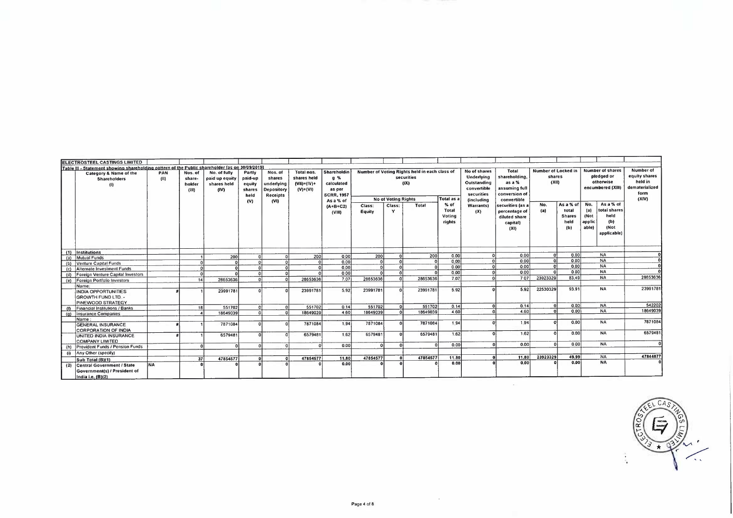| ELECTROSTEEL CASTINGS LIMITED                                                                   |             |                                      |                                                       |                                                      |                                                                   |                                                              |                                                                              |                  |                            |                                                                     |                                   |                                                                                                    |                                                                                          |                                        |                                                    |                                       |                                                                  |                                                                          |
|-------------------------------------------------------------------------------------------------|-------------|--------------------------------------|-------------------------------------------------------|------------------------------------------------------|-------------------------------------------------------------------|--------------------------------------------------------------|------------------------------------------------------------------------------|------------------|----------------------------|---------------------------------------------------------------------|-----------------------------------|----------------------------------------------------------------------------------------------------|------------------------------------------------------------------------------------------|----------------------------------------|----------------------------------------------------|---------------------------------------|------------------------------------------------------------------|--------------------------------------------------------------------------|
| Table III - Statement showing shareholding pattern of the Public shareholder [as on 30/09/2019] |             |                                      |                                                       |                                                      |                                                                   |                                                              |                                                                              |                  |                            |                                                                     |                                   |                                                                                                    |                                                                                          |                                        |                                                    |                                       |                                                                  |                                                                          |
| Category & Name of the<br><b>Shareholders</b><br>$\theta$                                       | PAN<br>(11) | Nos. of<br>share-<br>holder<br>(III) | No. of fully<br>paid up equity<br>shares held<br>(IV) | Partly<br>paid-up<br>equity<br>shares<br>held<br>(V) | Nos. of<br>shares<br>underlying<br>Depository<br>Receipts<br>(VI) | Total nos.<br>shares held<br>$(VII) = (IV) +$<br>$(V) + (V)$ | Shareholdin<br>a %<br>calculated<br>as per<br><b>SCRR, 1957</b><br>As a % of |                  | <b>No of Voting Rights</b> | Number of Voting Rights held in each class of<br>securities<br>(IX) | Total as a                        | No of shares<br>Underlying<br>Outstanding<br>convertible<br>securities<br><i><b>(including</b></i> | <b>Total</b><br>shareholding.<br>as a %<br>assuming full<br>conversion of<br>convertible | Number of Locked in<br>shares<br>(X11) |                                                    |                                       | Number of shares<br>pledged or<br>otherwise<br>encumbered (XIII) | Number of<br>equity shares<br>held in<br>dematerialized<br>form<br>(X V) |
|                                                                                                 |             |                                      |                                                       |                                                      |                                                                   |                                                              | $(A + B + C2)$<br>(VIII)                                                     | Class:<br>Equity | Class:<br>Y                | Total                                                               | % of<br>Total<br>Votina<br>rights | Warrants)<br>(X)                                                                                   | securities (as a<br>percentage of<br>diluted share<br>capital)<br>(XI)                   | No.<br>(a)                             | As a % of<br>total<br><b>Shares</b><br>held<br>(b) | No.<br>(a)<br>(Not<br>applic<br>able) | As a % of<br>total shares<br>held<br>(b)<br>(Not<br>applicable)  |                                                                          |
| (1) Institutions                                                                                |             |                                      | 200                                                   |                                                      |                                                                   | 200                                                          | 000                                                                          | 200              |                            | 200                                                                 | 000                               |                                                                                                    | 0.00<br>ा                                                                                |                                        | 0.00                                               |                                       | <b>NA</b>                                                        |                                                                          |
| (a) Mutual Funds                                                                                |             |                                      |                                                       |                                                      |                                                                   |                                                              | 0.00                                                                         | $\Omega$         | $\Omega$                   |                                                                     | 000                               |                                                                                                    | 0.00<br>ol                                                                               |                                        | 0.00                                               |                                       | <b>NA</b>                                                        |                                                                          |
| (b) Venture Capital Funds                                                                       |             |                                      |                                                       |                                                      |                                                                   |                                                              | 000                                                                          | $\Omega$         |                            |                                                                     | 0.00                              |                                                                                                    | 0.00<br>$\overline{o}$                                                                   | $\mathbf{a}$                           | 000                                                |                                       | <b>NA</b>                                                        |                                                                          |
| (c) Alternate Investment Funds                                                                  |             |                                      |                                                       |                                                      |                                                                   |                                                              |                                                                              | ി                | $\Omega$                   |                                                                     | 000                               |                                                                                                    | 0.00<br>ol                                                                               |                                        | 000                                                |                                       | <b>NA</b>                                                        |                                                                          |
| (d) Foreign Venture Capital Investors                                                           |             |                                      |                                                       |                                                      |                                                                   |                                                              | 000                                                                          |                  |                            |                                                                     |                                   |                                                                                                    | 707<br>ΩĪ                                                                                | 23923329                               | 83.49                                              |                                       | <b>NA</b>                                                        | 2865363                                                                  |
| (e) Foreign Portfolio Investors                                                                 |             | 14                                   | 28653636                                              |                                                      | $\sqrt{2}$                                                        | 28653636                                                     | 7.07                                                                         | 28653636         | $\Omega$                   | 28653636                                                            | 7.07                              |                                                                                                    |                                                                                          |                                        |                                                    |                                       |                                                                  |                                                                          |
| Name                                                                                            |             |                                      |                                                       |                                                      |                                                                   |                                                              |                                                                              |                  |                            |                                                                     |                                   |                                                                                                    |                                                                                          |                                        |                                                    |                                       |                                                                  | 2399178                                                                  |
| <b>INDIA OPPORTUNITIES</b><br>GROWTH FUND LTD.<br><b>PINEWOOD STRATEGY</b>                      |             |                                      | 23991781                                              |                                                      |                                                                   | 23991781                                                     | 5.92                                                                         | 23991781         | $\Omega$                   | 23991781                                                            | 5.92                              |                                                                                                    | 5.92<br>nl                                                                               | 22530329                               | 93.91                                              |                                       | <b>NA</b>                                                        |                                                                          |
| <b>Financial Institutions / Banks</b>                                                           |             | 18                                   | 551702                                                |                                                      | ΩI                                                                | 551702                                                       | 0,14                                                                         | 551702           |                            | 551702                                                              | 0.14                              |                                                                                                    | 0.14<br>ol                                                                               |                                        | 0.00                                               |                                       | <b>NA</b>                                                        | 54220                                                                    |
| (g) Insurance Companies                                                                         |             |                                      | 18649039                                              |                                                      | 0l                                                                | 18649039                                                     | 4 60                                                                         | 18649039         |                            | 18649039                                                            | 4.60                              |                                                                                                    | പ<br>4.60                                                                                |                                        | 0.00                                               |                                       | <b>NA</b>                                                        | 1864903                                                                  |
| Name:                                                                                           |             |                                      |                                                       |                                                      |                                                                   |                                                              |                                                                              |                  |                            |                                                                     |                                   |                                                                                                    |                                                                                          |                                        |                                                    |                                       |                                                                  |                                                                          |
| <b>GENERAL INSURANCE</b><br><b>CORPORATION OF INDIA</b>                                         |             |                                      | 7871084                                               |                                                      |                                                                   | 7871084                                                      | 1.94                                                                         | 7871084          | $\Omega$                   | 7871084                                                             | 194                               |                                                                                                    | 194<br>$\mathbf{a}$                                                                      |                                        | 0.00                                               |                                       | <b>NA</b>                                                        | 787108                                                                   |
| UNITED INDIA INSURANCE<br>COMPANY LIMITED                                                       |             |                                      | 6579481                                               |                                                      |                                                                   | 6579481                                                      | 1.62                                                                         | 6579481          | $\Omega$                   | 6579481                                                             | 162                               |                                                                                                    | 1.62<br>$\Omega$                                                                         |                                        | 0.00                                               |                                       | <b>NA</b>                                                        | 657948                                                                   |
| (h) Provident Funds / Pension Funds                                                             |             |                                      |                                                       |                                                      | Ωİ                                                                |                                                              | 0.00                                                                         | $\Omega$         |                            |                                                                     | 0.00                              |                                                                                                    | 0.00                                                                                     |                                        | 000                                                |                                       | <b>NA</b>                                                        |                                                                          |
|                                                                                                 |             |                                      |                                                       |                                                      |                                                                   |                                                              |                                                                              |                  |                            |                                                                     |                                   |                                                                                                    |                                                                                          |                                        |                                                    |                                       |                                                                  |                                                                          |
| (i) Any Other (specify)                                                                         |             |                                      |                                                       |                                                      | $\sqrt{2}$                                                        |                                                              |                                                                              | 47854577         | $\mathbf{a}$               | 47854577                                                            | 11.80                             |                                                                                                    | 11.80                                                                                    | 23923329                               | 49.99                                              |                                       | <b>NA</b>                                                        | 4784487                                                                  |
| Sub Total (B)(1)                                                                                |             | 37                                   | 47854577                                              |                                                      |                                                                   | 47854577                                                     | 11.80<br>0.00                                                                |                  |                            |                                                                     | 0.00                              |                                                                                                    | 0.00                                                                                     |                                        | 0.00                                               |                                       | <b>NA</b>                                                        |                                                                          |
| (2) Central Government / State<br>Government(s) / President of<br>India i.e. (B)(2)             | <b>INA</b>  |                                      |                                                       |                                                      |                                                                   |                                                              |                                                                              |                  |                            |                                                                     |                                   |                                                                                                    |                                                                                          |                                        |                                                    |                                       |                                                                  |                                                                          |



 $\sim$ 

 $\sim$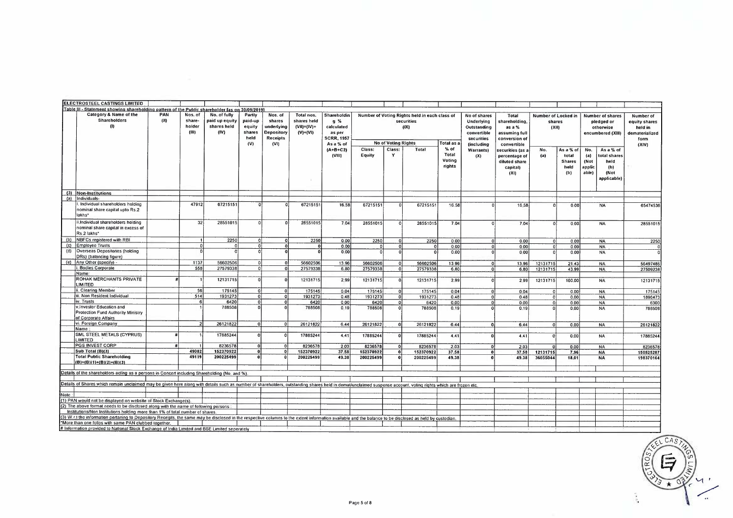|            | ELECTROSTEEL CASTINGS LIMITED                                                                                                                                                                                                                                      |                    |                                      |                                                       |                                                      |                                                                          |                                                             |                                                                                       |           |                            |                                                                     |                           |                                                                                                    |                                                                                   |                                        |                                       |                                                                                      |                                                                          |
|------------|--------------------------------------------------------------------------------------------------------------------------------------------------------------------------------------------------------------------------------------------------------------------|--------------------|--------------------------------------|-------------------------------------------------------|------------------------------------------------------|--------------------------------------------------------------------------|-------------------------------------------------------------|---------------------------------------------------------------------------------------|-----------|----------------------------|---------------------------------------------------------------------|---------------------------|----------------------------------------------------------------------------------------------------|-----------------------------------------------------------------------------------|----------------------------------------|---------------------------------------|--------------------------------------------------------------------------------------|--------------------------------------------------------------------------|
|            | Table III - Statement showing shareholding pattern of the Public shareholder fas on 30/09/2019                                                                                                                                                                     |                    |                                      |                                                       |                                                      |                                                                          |                                                             |                                                                                       |           |                            |                                                                     |                           |                                                                                                    |                                                                                   |                                        |                                       |                                                                                      |                                                                          |
|            | Category & Name of the<br>Shareholders<br>(1)                                                                                                                                                                                                                      | PAN<br>(11)        | Nos. of<br>share-<br>holder<br>(III) | No. of fully<br>paid up equity<br>shares held<br>(IV) | Partly<br>paid-up<br>equity<br>shares<br>held<br>(V) | Nos. of<br>shares<br>underlying<br>Depository<br><b>Receipts</b><br>(VI) | Total nos.<br>shares held<br>$(VIII) = (IV) +$<br>$(V)+(V)$ | Shareholdin<br>$q \gamma_0$<br>calculated<br>as per<br><b>SCRR, 1957</b><br>As a % of |           | <b>No of Voting Rights</b> | Number of Voting Rights held in each class of<br>securities<br>(IX) | Total as a                | No of shares<br>Underlying<br>Outstanding<br>convertible<br>securities<br><i><b>(including</b></i> | Total<br>shareholding,<br>as a %<br>assuming full<br>conversion of<br>convertible | Number of Locked in<br>shares<br>(XII) |                                       | Number of shares<br>pledged or<br>otherwise<br>encumbered (XIII)                     | Number of<br>equity shares<br>held in<br>dematerialized<br>form<br>(XIV) |
|            |                                                                                                                                                                                                                                                                    |                    |                                      |                                                       |                                                      |                                                                          |                                                             | $(A+B+C2)$                                                                            | Class:    | Class:                     | Total                                                               | % of                      | <b>Warrants)</b>                                                                                   | securities (as a                                                                  | No.                                    | As a % of                             | As a % of<br>No.                                                                     |                                                                          |
|            |                                                                                                                                                                                                                                                                    |                    |                                      |                                                       |                                                      |                                                                          |                                                             | (VIII)                                                                                | Equity    | Y                          |                                                                     | Total<br>Voting<br>rights | (X)                                                                                                | percentage of<br>diluted share<br>capital)<br>(XI)                                | (a)                                    | total<br><b>Shares</b><br>held<br>(b) | (a)<br>total shares<br>(Not<br>held<br>applic<br>(b)<br>able)<br>(Not<br>applicable) |                                                                          |
| (3)        | Non-Institutions                                                                                                                                                                                                                                                   |                    |                                      |                                                       |                                                      |                                                                          |                                                             |                                                                                       |           |                            |                                                                     |                           |                                                                                                    |                                                                                   |                                        |                                       |                                                                                      |                                                                          |
| (a)        | Individuals-                                                                                                                                                                                                                                                       |                    |                                      |                                                       |                                                      |                                                                          |                                                             |                                                                                       |           |                            |                                                                     |                           |                                                                                                    |                                                                                   |                                        |                                       |                                                                                      |                                                                          |
|            | . Individual shareholders holding<br>nominal share capital upto Rs.2<br>lakhs*                                                                                                                                                                                     |                    | 47912                                | 67215151                                              |                                                      |                                                                          | 67215151                                                    | 16,58                                                                                 | 67215151  |                            | 67215151                                                            | 16.58                     | $\Omega$                                                                                           | 16 58                                                                             | $\Omega$                               | 0.00                                  | <b>NA</b>                                                                            | 65474536                                                                 |
|            | ii.Individual shareholders holding                                                                                                                                                                                                                                 |                    | 32                                   | 28551015                                              |                                                      |                                                                          | 28551015                                                    | 7 04                                                                                  | 28551015  | $\Omega$                   | 28551015                                                            | 7.04                      |                                                                                                    | 7.04                                                                              | $\Omega$                               | 0.00                                  | <b>NA</b>                                                                            | 28551015                                                                 |
|            | nominal share capital in excess of<br>Rs 2 lakhs*                                                                                                                                                                                                                  |                    |                                      |                                                       |                                                      |                                                                          |                                                             |                                                                                       |           |                            |                                                                     |                           |                                                                                                    |                                                                                   |                                        |                                       |                                                                                      |                                                                          |
| (b)        | NBFCs registered with RBI                                                                                                                                                                                                                                          |                    |                                      | 2250                                                  | $\Omega$                                             | n.                                                                       | 2250                                                        | 0.00                                                                                  | 2250      | $\Omega$                   | 2250                                                                | 0.00                      | $\Omega$                                                                                           | 0.00                                                                              | <sub>0</sub>                           | 0.00                                  | <b>NA</b>                                                                            | 2250                                                                     |
| (c)<br>(d) | <b>Employee Trusts</b><br>Overseas Depositories (holding                                                                                                                                                                                                           |                    |                                      | $\Omega$                                              | $\mathbf{0}$                                         | $\Omega$                                                                 |                                                             | 0.00                                                                                  |           | $\sqrt{ }$                 | $\Omega$                                                            | 0.00                      |                                                                                                    | 0.00                                                                              | n'                                     | 0.00                                  | <b>NA</b>                                                                            |                                                                          |
| (e)        | DRs) (balancing figure)<br>Any Other (specify) -                                                                                                                                                                                                                   |                    |                                      |                                                       | $\Omega$                                             |                                                                          |                                                             | 0.00                                                                                  |           | nl                         | Ω                                                                   | 0.00                      |                                                                                                    | 0.00                                                                              |                                        | 0.00                                  | <b>NA</b>                                                                            |                                                                          |
|            | <b>Bodies Corporate</b>                                                                                                                                                                                                                                            |                    | 1137<br>558                          | 56602506                                              | $\Omega$<br>$\Omega$                                 | $\Omega$<br>Ωi                                                           | 56602506                                                    | 13.96                                                                                 | 56602506  | $\Omega$                   | 56602506                                                            | 13 96                     | $\Omega$                                                                                           | 13,96                                                                             | 12131715                               | 21 43                                 | <b>NA</b>                                                                            | 56497486                                                                 |
|            | Name:                                                                                                                                                                                                                                                              |                    |                                      | 27579338                                              |                                                      |                                                                          | 27579338                                                    | 6.80                                                                                  | 27579338  | $\Omega$                   | 27579338                                                            | 6,80                      | $\Omega$                                                                                           | 6.80                                                                              | 12131715                               | 43.99                                 | <b>NA</b>                                                                            | 27509236                                                                 |
|            | ROHAK MERCHANTS PRIVATE<br><b>IMITED</b>                                                                                                                                                                                                                           |                    |                                      | 12131715                                              | $\Omega$                                             |                                                                          | 12131715                                                    | 299                                                                                   | 12131715  | $\Omega$                   | 12131715                                                            | 2.99                      |                                                                                                    | 299                                                                               | 12131715                               | 100.00                                | <b>NA</b>                                                                            | 12131715                                                                 |
|            | i. Clearing Member                                                                                                                                                                                                                                                 |                    | 56                                   | 175145                                                | $\Omega$                                             | $\Omega$                                                                 | 175145                                                      | 0.04                                                                                  | 175145    |                            | 175145                                                              | 0.04                      |                                                                                                    | 0.04                                                                              | <sub>0</sub>                           | 0.00                                  | <b>NA</b>                                                                            | 175145                                                                   |
|            | III. Non Resident Individual                                                                                                                                                                                                                                       |                    | 514                                  | 1931273                                               | $\mathbf{0}$                                         | $\Omega$                                                                 | 1931273                                                     | 0.48                                                                                  | 1931273   | $\Omega$                   | 1931273                                                             | 0.48                      | ol                                                                                                 | 0.48                                                                              | $\overline{0}$                         | 0.00                                  | <b>NA</b>                                                                            | 1896473                                                                  |
|            | iv. Trusts                                                                                                                                                                                                                                                         |                    | 6                                    | 6420                                                  | $\mathbf{0}$                                         | o١                                                                       | 6420                                                        | 0.00                                                                                  | 6420      |                            | 6420                                                                | 0.00                      | ol                                                                                                 | 000                                                                               | $\overline{0}$                         | 000                                   | <b>NA</b>                                                                            | 6300                                                                     |
|            | v.Investor Education and<br>Protection Fund Authority Ministry<br>of Corporate Affairs                                                                                                                                                                             |                    |                                      | 788508                                                | $\Omega$                                             |                                                                          | 788508                                                      | 0.19                                                                                  | 788508    |                            | 788508                                                              | 0.19                      |                                                                                                    | 0.19                                                                              |                                        | 0.00                                  | <b>NA</b>                                                                            | 788508                                                                   |
|            | vi. Foreign Company                                                                                                                                                                                                                                                |                    |                                      | 26121822                                              | ΩI                                                   |                                                                          | 26121822                                                    | 6.44                                                                                  | 26121822  | n                          | 26121822                                                            | 644                       | $\Omega$                                                                                           | 6.44                                                                              | ol                                     | 0.00                                  | <b>NA</b>                                                                            | 26121822                                                                 |
|            | Name<br>SML STEEL METALS (CYPRUS)<br>LIMITED                                                                                                                                                                                                                       |                    |                                      | 17885244                                              |                                                      |                                                                          | 17885244                                                    | 4.41                                                                                  | 17885244  |                            | 17885244                                                            | 4.41                      |                                                                                                    | 4.41                                                                              | n                                      | 0.00                                  | <b>NA</b>                                                                            | 17885244                                                                 |
|            | PGS INVEST CORP                                                                                                                                                                                                                                                    | $\boldsymbol{\mu}$ |                                      | 8236578                                               | $\Omega$                                             |                                                                          | 823657                                                      | 203                                                                                   | 8236578   |                            | 8236578                                                             | 2.03                      | $\Omega$                                                                                           | 2.03                                                                              |                                        | 0.00                                  | <b>NA</b>                                                                            | 8236578                                                                  |
|            | Sub Total (B)(3)                                                                                                                                                                                                                                                   |                    | 49082                                | 152370922                                             | o                                                    |                                                                          | 152370922                                                   | 37.58                                                                                 | 152370922 | o                          | 152370922                                                           | 37.58                     | $\mathbf{r}$                                                                                       | 37.58                                                                             | 12131715                               | 7.96                                  | <b>NA</b>                                                                            | 150525287                                                                |
|            | <b>Total Public Shareholding</b><br>$(B)=(B)(1)+(B)(2)+(B)(3)$                                                                                                                                                                                                     |                    | 49119                                | 200225499                                             | O.                                                   |                                                                          | 200225499                                                   | 49.38                                                                                 | 200225499 |                            | 200225499                                                           | 49.38                     |                                                                                                    | 49.38                                                                             | 36055044                               | 18,01                                 | <b>NA</b>                                                                            | 198370164                                                                |
|            | Details of the shareholders acting as a persons in Concert including Shareholding (No and %).                                                                                                                                                                      |                    |                                      |                                                       |                                                      |                                                                          |                                                             |                                                                                       |           |                            |                                                                     |                           |                                                                                                    |                                                                                   |                                        |                                       |                                                                                      |                                                                          |
|            |                                                                                                                                                                                                                                                                    |                    |                                      |                                                       |                                                      |                                                                          |                                                             |                                                                                       |           |                            |                                                                     |                           |                                                                                                    |                                                                                   |                                        |                                       |                                                                                      |                                                                          |
|            | Details of Shares which remain unclaimed may be given here along with details such as number of shareholders, outstanding shares held in demat/unclaimed suspense account, voting rights which are frozen etc.                                                     |                    |                                      |                                                       |                                                      |                                                                          |                                                             |                                                                                       |           |                            |                                                                     |                           |                                                                                                    |                                                                                   |                                        |                                       |                                                                                      |                                                                          |
| Note       |                                                                                                                                                                                                                                                                    |                    |                                      |                                                       |                                                      |                                                                          |                                                             |                                                                                       |           |                            |                                                                     |                           |                                                                                                    |                                                                                   |                                        |                                       |                                                                                      |                                                                          |
|            | (1) PAN would not be displayed on website of Stock Exchange(s).                                                                                                                                                                                                    |                    |                                      |                                                       |                                                      |                                                                          |                                                             |                                                                                       |           |                            |                                                                     |                           |                                                                                                    |                                                                                   |                                        |                                       |                                                                                      |                                                                          |
|            | (2) The above format needs to be disclosed along with the name of following persons                                                                                                                                                                                |                    |                                      |                                                       |                                                      |                                                                          |                                                             |                                                                                       |           |                            |                                                                     |                           |                                                                                                    |                                                                                   |                                        |                                       |                                                                                      |                                                                          |
|            | Institutions/Non Institutions holding more than 1% of total number of shares.                                                                                                                                                                                      |                    |                                      |                                                       |                                                      |                                                                          |                                                             |                                                                                       |           |                            |                                                                     |                           |                                                                                                    |                                                                                   |                                        |                                       |                                                                                      |                                                                          |
|            | (3) W.r.t the information perlaning to Depository Receipts, the same may be disclosed in the respective columns to the extent information available and the balance to be disclosed as held by custodian.<br>*More than one folios with same PAN clubbed together. |                    |                                      |                                                       |                                                      |                                                                          |                                                             |                                                                                       |           |                            |                                                                     |                           |                                                                                                    |                                                                                   |                                        |                                       |                                                                                      |                                                                          |
|            | # Information provided to National Stock Exchange of India Limited and BSE Limited seperately                                                                                                                                                                      |                    |                                      |                                                       |                                                      |                                                                          |                                                             |                                                                                       |           |                            |                                                                     |                           |                                                                                                    |                                                                                   |                                        |                                       |                                                                                      |                                                                          |

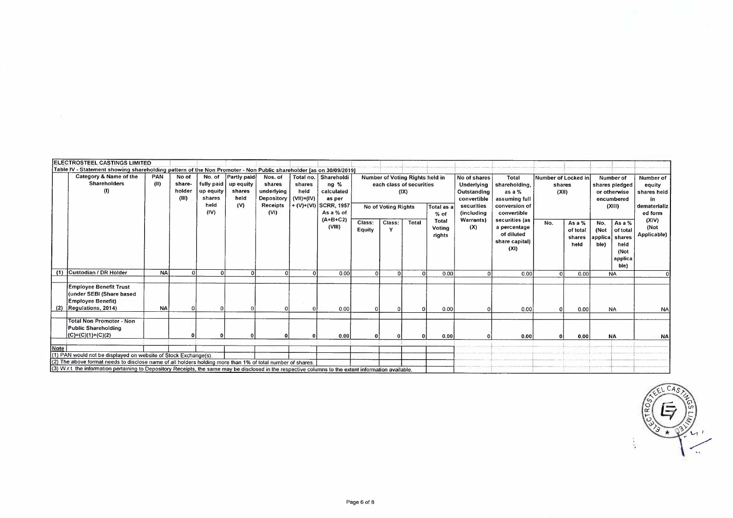|             | ELECTROSTEEL CASTINGS LIMITED                                                                                                                                                                                                                                                                                                           |             |                                    |                                                             |                                                   |                                                                   |                                              |                                                                                     |                  |                     |                                                                     |                                  |                                                                                      |                                                                                   |                     |                                        |                                                                     |                                                                 |                                                                     |
|-------------|-----------------------------------------------------------------------------------------------------------------------------------------------------------------------------------------------------------------------------------------------------------------------------------------------------------------------------------------|-------------|------------------------------------|-------------------------------------------------------------|---------------------------------------------------|-------------------------------------------------------------------|----------------------------------------------|-------------------------------------------------------------------------------------|------------------|---------------------|---------------------------------------------------------------------|----------------------------------|--------------------------------------------------------------------------------------|-----------------------------------------------------------------------------------|---------------------|----------------------------------------|---------------------------------------------------------------------|-----------------------------------------------------------------|---------------------------------------------------------------------|
|             | Table IV - Statement showing shareholding pattern of the Non Promoter - Non Public shareholder [as on 30/09/2019]                                                                                                                                                                                                                       |             |                                    |                                                             |                                                   |                                                                   |                                              |                                                                                     |                  |                     |                                                                     |                                  |                                                                                      |                                                                                   |                     |                                        |                                                                     |                                                                 |                                                                     |
|             | Category & Name of the<br><b>Shareholders</b><br>$\langle 0 \rangle$                                                                                                                                                                                                                                                                    | PAN<br>(II) | No of<br>share-<br>holder<br>(III) | No. of<br>fully paid<br>up equity<br>shares<br>held<br>(IV) | Partly paid<br>up equity<br>shares<br>held<br>(V) | Nos. of<br>shares<br>underlying<br>Depository<br>Receipts<br>(VI) | Total no.<br>shares<br>held<br>$(VH) = (IV)$ | Shareholdi<br>$nq$ %<br>calculated<br>as per<br>$+(V)+(VI)$ SCRR, 1957<br>As a % of |                  | No of Voting Rights | Number of Voting Rights held in<br>each class of securities<br>(IX) | Total as a<br>% of               | No of shares<br>Underlying<br>Outstanding<br>convertible<br>securities<br>(including | Total<br>shareholding,<br>as a %<br>assuming full<br>conversion of<br>convertible | Number of Locked in | shares<br>(XII)                        | Number of<br>shares pledged<br>or otherwise<br>encumbered<br>(XIII) |                                                                 | Number of<br>equity<br>shares held<br>in<br>dematerializ<br>ed form |
|             |                                                                                                                                                                                                                                                                                                                                         |             |                                    |                                                             |                                                   |                                                                   |                                              | $(A+B+C2)$<br>(VIII)                                                                | Class:<br>Equity | Class:              | <b>Total</b>                                                        | <b>Total</b><br>Voting<br>rights | Warrants)<br>(X)                                                                     | securities (as<br>a percentage<br>of diluted<br>share capital)<br>(XI)            | No.                 | As a $%$<br>of total<br>shares<br>held | No.<br>(Not<br>applica<br>ble)                                      | As a %<br>of total<br>shares<br>held<br>(Not<br>applica<br>ble) | (X V)<br>(Not<br>Applicable)                                        |
|             | (1) Custodian / DR Holder                                                                                                                                                                                                                                                                                                               | <b>NA</b>   |                                    |                                                             |                                                   |                                                                   |                                              | 0.00                                                                                | $\Omega$         | $\Omega$            | $\Omega$                                                            | 0.00                             |                                                                                      | 0.00                                                                              |                     | 0.00                                   | <b>NA</b>                                                           |                                                                 |                                                                     |
|             | <b>Employee Benefit Trust</b><br>(under SEBI (Share based<br><b>Employee Benefit)</b><br>$(2)$ Regulations, 2014)                                                                                                                                                                                                                       | <b>NA</b>   |                                    |                                                             |                                                   |                                                                   |                                              | 0.00                                                                                |                  |                     |                                                                     | 0.00                             |                                                                                      | 0.00                                                                              |                     | 0.00                                   | <b>NA</b>                                                           |                                                                 | N <sub>A</sub>                                                      |
|             | <b>Total Non Promoter - Non</b><br><b>Public Shareholding</b><br>(C)=(C)(1)+(C)(2)                                                                                                                                                                                                                                                      |             |                                    |                                                             |                                                   |                                                                   |                                              | 0.00                                                                                |                  |                     | $\Omega$                                                            | 0.00                             |                                                                                      | 0.00                                                                              |                     | 0.00                                   | <b>NA</b>                                                           |                                                                 | NA                                                                  |
| <b>Note</b> | (1) PAN would not be displayed on website of Stock Exchange(s).<br>(2) The above format needs to disclose name of all holders holding more than 1% of total number of shares.<br>(3) W.r.t. the information pertaining to Depository Receipts, the same may be disclosed in the respective columns to the extent information available. |             |                                    |                                                             |                                                   |                                                                   |                                              |                                                                                     |                  |                     |                                                                     |                                  |                                                                                      |                                                                                   |                     |                                        |                                                                     |                                                                 |                                                                     |

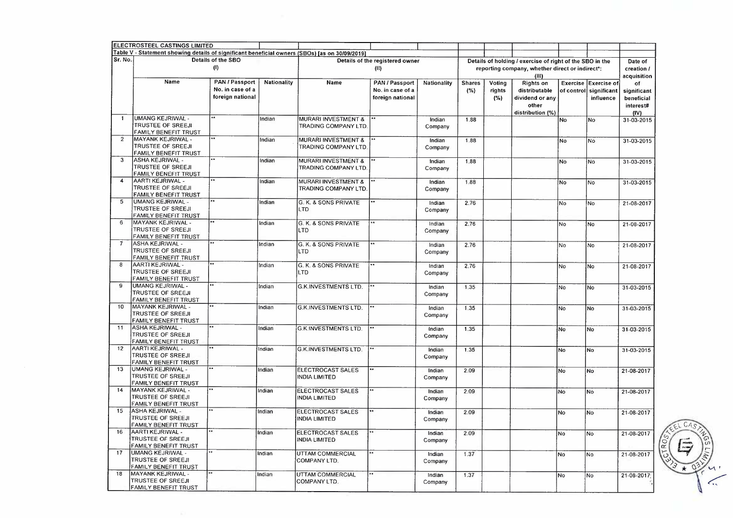|                  | ELECTROSTEEL CASTINGS LIMITED                                                                  |                                                        |             |                                                        |                                                        |                   |                      |                         |                                                                                                                      |                |                                                              |                                                      |
|------------------|------------------------------------------------------------------------------------------------|--------------------------------------------------------|-------------|--------------------------------------------------------|--------------------------------------------------------|-------------------|----------------------|-------------------------|----------------------------------------------------------------------------------------------------------------------|----------------|--------------------------------------------------------------|------------------------------------------------------|
|                  | Table V - Statement showing details of significant beneficial owners (SBOs) [as on 30/09/2019] |                                                        |             |                                                        |                                                        |                   |                      |                         |                                                                                                                      |                |                                                              |                                                      |
| Sr. No.          |                                                                                                | Details of the SBO<br>(1)                              |             |                                                        | Details of the registered owner<br>(11)                |                   |                      |                         | Details of holding / exercise of right of the SBO in the<br>reporting company, whether direct or indirect*:<br>(III) |                |                                                              | Date of<br>creation /<br>acquisition                 |
|                  | Name                                                                                           | PAN / Passport<br>No. in case of a<br>foreign national | Nationality | Name                                                   | PAN / Passport<br>No. in case of a<br>foreign national | Nationality       | <b>Shares</b><br>(%) | Voting<br>rights<br>(%) | <b>Rights on</b><br>distributable<br>dividend or any<br>other<br>distribution (%)                                    |                | Exercise Exercise of<br>of control  significant<br>influence | of<br>significant<br>beneficial<br>interest#<br>(IV) |
| $\mathbf{1}$     | <b>UMANG KEJRIWAL -</b><br><b>TRUSTEE OF SREEJI</b><br>FAMILY BENEFIT TRUST                    | $\bullet\bullet$                                       | Indian      | <b>MURARI INVESTMENT &amp;</b><br>TRADING COMPANY LTD. |                                                        | Indian<br>Company | 1.88                 |                         |                                                                                                                      | No             | No                                                           | 31-03-2015                                           |
| $\overline{2}$   | MAYANK KEJRIWAL -<br><b>TRUSTEE OF SREEJI</b><br>FAMILY BENEFIT TRUST                          | $\bullet\bullet$                                       | Indian      | MURARI INVESTMENT &<br>TRADING COMPANY LTD             |                                                        | Indian<br>Company | 1.88                 |                         |                                                                                                                      | No             | No                                                           | 31-03-2015                                           |
| 3                | <b>ASHA KEJRIWAL -</b><br><b>TRUSTEE OF SREEJI</b><br>FAMILY BENEFIT TRUST                     | $\overline{a}$                                         | Indian      | MURARI INVESTMENT &<br>TRADING COMPANY LTD             |                                                        | Indian<br>Company | 1.88                 |                         |                                                                                                                      | No             | <b>No</b>                                                    | 31-03-2015                                           |
| $\boldsymbol{A}$ | AARTI KEJRIWAL -<br>TRUSTEE OF SREEJI<br>FAMILY BENEFIT TRUST                                  |                                                        | Indian      | MURARI INVESTMENT &<br>TRADING COMPANY LTD             |                                                        | Indian<br>Company | 1.88                 |                         |                                                                                                                      | No             | No                                                           | 31-03-2015                                           |
| 5                | <b>UMANG KEJRIWAL -</b><br><b>TRUSTEE OF SREEJI</b><br>FAMILY BENEFIT TRUST                    |                                                        | Indian      | G. K. & SONS PRIVATE<br>LTD                            |                                                        | Indian<br>Company | 2.76                 |                         |                                                                                                                      | N <sub>o</sub> | lNo.                                                         | 21-08-2017                                           |
| 6                | MAYANK KEJRIWAL -<br>TRUSTEE OF SREEJI<br>FAMILY BENEFIT TRUST                                 |                                                        | Indian      | G. K. & SONS PRIVATE<br><b>LTD</b>                     |                                                        | Indian<br>Company | 2.76                 |                         |                                                                                                                      | <b>No</b>      | No.                                                          | 21-08-2017                                           |
| $\overline{7}$   | <b>ASHA KEJRIWAL -</b><br><b>TRUSTEE OF SREEJI</b><br>FAMILY BENEFIT TRUST                     |                                                        | Indian      | G. K. & SONS PRIVATE<br>LTD                            |                                                        | Indian<br>Company | 2.76                 |                         |                                                                                                                      | No             | No                                                           | 21-08-2017                                           |
| 8                | AARTI KEJRIWAL -<br><b>TRUSTEE OF SREEJI</b><br>FAMILY BENEFIT TRUST                           |                                                        | Indian      | G. K. & SONS PRIVATE<br><b>LTD</b>                     |                                                        | Indian<br>Company | 2.76                 |                         |                                                                                                                      | No             | No.                                                          | 21-08-2017                                           |
| 9                | <b>UMANG KEJRIWAL -</b><br>TRUSTEE OF SREEJI<br>FAMILY BENEFIT TRUST                           | $\bullet\star$                                         | Indian      | <b>G.K.INVESTMENTS LTD.</b>                            |                                                        | Indian<br>Company | 1.35                 |                         |                                                                                                                      | No             | No                                                           | 31-03-2015                                           |
| 10               | MAYANK KEJRIWAL -<br><b>TRUSTEE OF SREEJI</b><br>FAMILY BENEFIT TRUST                          | $\star \star$                                          | Indian      | <b>G.K.INVESTMENTS LTD.</b>                            |                                                        | Indian<br>Company | 1.35                 |                         |                                                                                                                      | No             | No                                                           | 31-03-2015                                           |
| 11               | <b>ASHA KEJRIWAL -</b><br><b>TRUSTEE OF SREEJI</b><br>FAMILY BENEFIT TRUST                     | $\bullet$                                              | Indian      | <b>G.K.INVESTMENTS LTD.</b>                            |                                                        | Indian<br>Company | 1.35                 |                         |                                                                                                                      | No             | No                                                           | 31-03-2015                                           |
| 12               | AARTI KEJRIWAL -<br>TRUSTEE OF SREEJI<br>FAMILY BENEFIT TRUST                                  |                                                        | Indian      | <b>G.K.INVESTMENTS LTD.</b>                            |                                                        | Indian<br>Company | 1.35                 |                         |                                                                                                                      | No             | <b>No</b>                                                    | 31-03-2015                                           |
| 13               | <b>UMANG KEJRIWAL -</b><br>TRUSTEE OF SREEJI<br>FAMILY BENEFIT TRUST                           | $\overline{\cdots}$                                    | Indian      | <b>ELECTROCAST SALES</b><br><b>INDIA LIMITED</b>       | $\overline{\bullet}$                                   | Indian<br>Company | 2.09                 |                         |                                                                                                                      | No             | No                                                           | 21-08-2017                                           |
| 14               | MAYANK KEJRIWAL -<br><b>TRUSTEE OF SREEJI</b><br>FAMILY BENEFIT TRUST                          |                                                        | Indian      | ELECTROCAST SALES<br><b>INDIA LIMITED</b>              | $\star \star$                                          | Indian<br>Company | 2.09                 |                         |                                                                                                                      | No             | No                                                           | 21-08-2017                                           |
| 15               | ASHA KEJRIWAL -<br><b>TRUSTEE OF SREEJI</b><br>FAMILY BENEFIT TRUST                            |                                                        | Indian      | ELECTROCAST SALES<br><b>INDIA LIMITED</b>              |                                                        | Indian<br>Company | 2.09                 |                         |                                                                                                                      | No             | No                                                           | 21-08-2017                                           |
| 16               | AARTI KEJRIWAL -<br><b>TRUSTEE OF SREEJI</b><br>FAMILY BENEFIT TRUST                           |                                                        | Indian      | ELECTROCAST SALES<br><b>INDIA LIMITED</b>              |                                                        | Indian<br>Company | 2.09                 |                         |                                                                                                                      | No             | No                                                           | 21-08-2017                                           |
| 17               | UMANG KEJRIWAL -<br><b>TRUSTEE OF SREEJI</b><br>FAMILY BENEFIT TRUST                           | l s s                                                  | Indian      | <b>UTTAM COMMERCIAL</b><br>COMPANY LTD.                |                                                        | Indian<br>Company | 1.37                 |                         |                                                                                                                      | No             | No                                                           | 21-08-2017                                           |
| 18               | MAYANK KEJRIWAL -<br>TRUSTEE OF SREEJI<br>FAMILY BENEFIT TRUST                                 | $\overline{\cdots}$                                    | Indian      | UTTAM COMMERCIAL<br>COMPANY LTD.                       |                                                        | Indian<br>Company | 1.37                 |                         |                                                                                                                      | No             | No                                                           | 21-08-2017                                           |